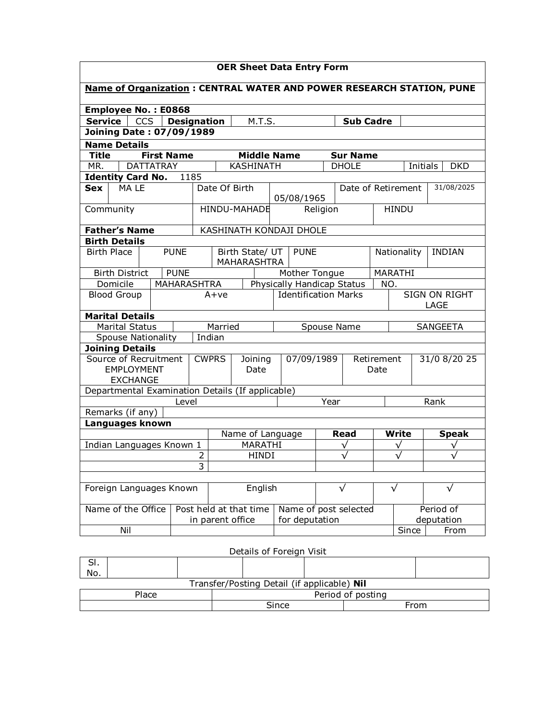| <b>OER Sheet Data Entry Form</b>                                                 |                                                                                |                  |                                       |                                |             |                       |                              |                    |              |              |               |
|----------------------------------------------------------------------------------|--------------------------------------------------------------------------------|------------------|---------------------------------------|--------------------------------|-------------|-----------------------|------------------------------|--------------------|--------------|--------------|---------------|
| <b>Name of Organization: CENTRAL WATER AND POWER RESEARCH STATION, PUNE</b>      |                                                                                |                  |                                       |                                |             |                       |                              |                    |              |              |               |
| Employee No.: E0868                                                              |                                                                                |                  |                                       |                                |             |                       |                              |                    |              |              |               |
| <b>Service</b><br><b>CCS</b><br>M.T.S.<br><b>Sub Cadre</b><br><b>Designation</b> |                                                                                |                  |                                       |                                |             |                       |                              |                    |              |              |               |
|                                                                                  | <b>Joining Date: 07/09/1989</b>                                                |                  |                                       |                                |             |                       |                              |                    |              |              |               |
| <b>Name Details</b>                                                              |                                                                                |                  |                                       |                                |             |                       |                              |                    |              |              |               |
| <b>Title</b><br><b>First Name</b><br><b>Middle Name</b><br><b>Sur Name</b>       |                                                                                |                  |                                       |                                |             |                       |                              |                    |              |              |               |
| MR.                                                                              | <b>DATTATRAY</b><br><b>KASHINATH</b><br><b>DHOLE</b><br>Initials<br><b>DKD</b> |                  |                                       |                                |             |                       |                              |                    |              |              |               |
| <b>Identity Card No.</b>                                                         |                                                                                | 1185             |                                       |                                |             |                       |                              |                    |              |              |               |
| <b>Sex</b><br>MA LE                                                              |                                                                                |                  | Date Of Birth                         |                                |             |                       |                              | Date of Retirement |              |              | 31/08/2025    |
|                                                                                  |                                                                                |                  |                                       |                                |             | 05/08/1965            |                              |                    |              |              |               |
|                                                                                  | Community                                                                      |                  | HINDU-MAHADE<br>Religion              |                                |             |                       | <b>HINDU</b>                 |                    |              |              |               |
| <b>Father's Name</b>                                                             |                                                                                |                  |                                       | KASHINATH KONDAJI DHOLE        |             |                       |                              |                    |              |              |               |
| <b>Birth Details</b>                                                             |                                                                                |                  |                                       |                                |             |                       |                              |                    |              |              |               |
| <b>Birth Place</b>                                                               | <b>PUNE</b>                                                                    |                  |                                       | Birth State/ UT<br>MAHARASHTRA | <b>PUNE</b> |                       |                              |                    |              | Nationality  | <b>INDIAN</b> |
| <b>PUNE</b><br>Mother Tongue<br>MARATHI<br><b>Birth District</b>                 |                                                                                |                  |                                       |                                |             |                       |                              |                    |              |              |               |
|                                                                                  | Domicile<br><b>MAHARASHTRA</b><br>Physically Handicap Status<br>NO.            |                  |                                       |                                |             |                       |                              |                    |              |              |               |
| <b>Blood Group</b>                                                               |                                                                                |                  | <b>Identification Marks</b><br>$A+ve$ |                                |             |                       | <b>SIGN ON RIGHT</b><br>LAGE |                    |              |              |               |
| <b>Marital Details</b>                                                           |                                                                                |                  |                                       |                                |             |                       |                              |                    |              |              |               |
| <b>Marital Status</b>                                                            |                                                                                |                  | Married<br>Spouse Name                |                                |             |                       | <b>SANGEETA</b>              |                    |              |              |               |
| <b>Spouse Nationality</b>                                                        |                                                                                |                  | Indian                                |                                |             |                       |                              |                    |              |              |               |
| <b>Joining Details</b>                                                           |                                                                                |                  |                                       |                                |             |                       |                              |                    |              |              |               |
| Source of Recruitment                                                            |                                                                                |                  | <b>CWPRS</b><br>Joining               |                                | 07/09/1989  |                       | Retirement                   |                    |              | 31/0 8/20 25 |               |
| <b>EMPLOYMENT</b>                                                                |                                                                                |                  | Date                                  |                                |             |                       | Date                         |                    |              |              |               |
| <b>EXCHANGE</b><br>Departmental Examination Details (If applicable)              |                                                                                |                  |                                       |                                |             |                       |                              |                    |              |              |               |
|                                                                                  |                                                                                | Level            |                                       |                                |             |                       | Year                         |                    |              |              | Rank          |
| Remarks (if any)                                                                 |                                                                                |                  |                                       |                                |             |                       |                              |                    |              |              |               |
| Languages known                                                                  |                                                                                |                  |                                       |                                |             |                       |                              |                    |              |              |               |
|                                                                                  |                                                                                | Name of Language |                                       |                                |             | Read                  |                              | <b>Write</b>       | <b>Speak</b> |              |               |
| Indian Languages Known 1                                                         |                                                                                |                  | MARATHI                               |                                |             |                       | ν                            |                    |              | ν            |               |
|                                                                                  |                                                                                | 2                | <b>HINDI</b>                          |                                |             |                       |                              |                    |              |              |               |
| 3                                                                                |                                                                                |                  |                                       |                                |             |                       |                              |                    |              |              |               |
|                                                                                  |                                                                                |                  |                                       |                                |             |                       |                              |                    |              |              |               |
| Foreign Languages Known                                                          |                                                                                |                  | English                               |                                |             | √                     |                              | $\sqrt{}$          | $\sqrt{}$    |              |               |
| Name of the Office                                                               |                                                                                |                  | Post held at that time                |                                |             | Name of post selected |                              |                    | Period of    |              |               |
|                                                                                  |                                                                                |                  | in parent office<br>for deputation    |                                |             |                       |                              |                    | deputation   |              |               |
| Nil<br>Since<br>From                                                             |                                                                                |                  |                                       |                                |             |                       |                              |                    |              |              |               |

Details of Foreign Visit

| э۱.<br>No.                                  |       |      |  |  |  |  |  |  |  |  |
|---------------------------------------------|-------|------|--|--|--|--|--|--|--|--|
| Transfer/Posting Detail (if applicable) Nil |       |      |  |  |  |  |  |  |  |  |
| Period of posting<br>Place                  |       |      |  |  |  |  |  |  |  |  |
|                                             | Since | From |  |  |  |  |  |  |  |  |